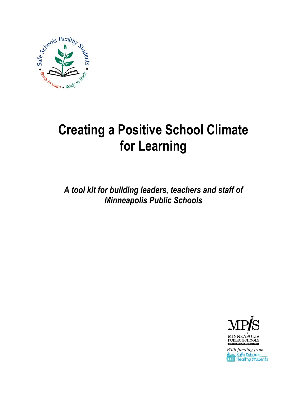

# **Creating a Positive School Climate for Learning**

*A tool kit for building leaders, teachers and staff of Minneapolis Public Schools*



*With funding from*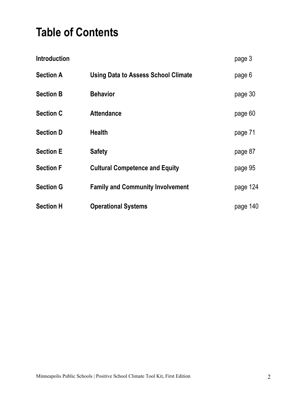### **Table of Contents**

| <b>Introduction</b> |                                            | page 3   |
|---------------------|--------------------------------------------|----------|
| <b>Section A</b>    | <b>Using Data to Assess School Climate</b> | page 6   |
| <b>Section B</b>    | <b>Behavior</b>                            | page 30  |
| <b>Section C</b>    | <b>Attendance</b>                          | page 60  |
| <b>Section D</b>    | <b>Health</b>                              | page 71  |
| <b>Section E</b>    | <b>Safety</b>                              | page 87  |
| <b>Section F</b>    | <b>Cultural Competence and Equity</b>      | page 95  |
| <b>Section G</b>    | <b>Family and Community Involvement</b>    | page 124 |
| <b>Section H</b>    | <b>Operational Systems</b>                 | page 140 |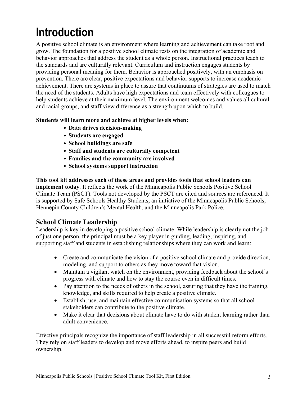## **Introduction**

A positive school climate is an environment where learning and achievement can take root and grow. The foundation for a positive school climate rests on the integration of academic and behavior approaches that address the student as a whole person. Instructional practices teach to the standards and are culturally relevant. Curriculum and instruction engages students by providing personal meaning for them. Behavior is approached positively, with an emphasis on prevention. There are clear, positive expectations and behavior supports to increase academic achievement. There are systems in place to assure that continuums of strategies are used to match the need of the students. Adults have high expectations and team effectively with colleagues to help students achieve at their maximum level. The environment welcomes and values all cultural and racial groups, and staff view difference as a strength upon which to build.

#### **Students will learn more and achieve at higher levels when:**

- **Data drives decision-making**
- **Students are engaged**
- **School buildings are safe**
- **Staff and students are culturally competent**
- **Families and the community are involved**
- **School systems support instruction**

**This tool kit addresses each of these areas and provides tools that school leaders can implement today**. It reflects the work of the Minneapolis Public Schools Positive School Climate Team (PSCT). Tools not developed by the PSCT are cited and sources are referenced. It is supported by Safe Schools Healthy Students, an initiative of the Minneapolis Public Schools, Hennepin County Children's Mental Health, and the Minneapolis Park Police.

#### **School Climate Leadership**

Leadership is key in developing a positive school climate. While leadership is clearly not the job of just one person, the principal must be a key player in guiding, leading, inspiring, and supporting staff and students in establishing relationships where they can work and learn:

- Create and communicate the vision of a positive school climate and provide direction, modeling, and support to others as they move toward that vision.
- Maintain a vigilant watch on the environment, providing feedback about the school's progress with climate and how to stay the course even in difficult times.
- Pay attention to the needs of others in the school, assuring that they have the training, knowledge, and skills required to help create a positive climate.
- Establish, use, and maintain effective communication systems so that all school stakeholders can contribute to the positive climate.
- Make it clear that decisions about climate have to do with student learning rather than adult convenience.

Effective principals recognize the importance of staff leadership in all successful reform efforts. They rely on staff leaders to develop and move efforts ahead, to inspire peers and build ownership.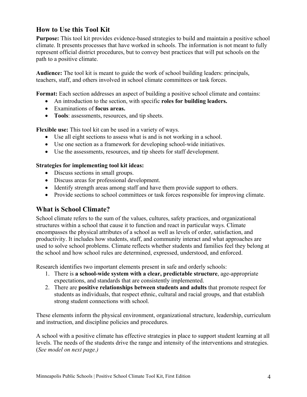### **How to Use this Tool Kit**

**Purpose:** This tool kit provides evidence-based strategies to build and maintain a positive school climate. It presents processes that have worked in schools. The information is not meant to fully represent official district procedures, but to convey best practices that will put schools on the path to a positive climate.

**Audience:** The tool kit is meant to guide the work of school building leaders: principals, teachers, staff, and others involved in school climate committees or task forces.

**Format:** Each section addresses an aspect of building a positive school climate and contains:

- An introduction to the section, with specific **roles for building leaders.**
- Examinations of **focus areas.**
- **Tools**: assessments, resources, and tip sheets.

**Flexible use:** This tool kit can be used in a variety of ways.

- Use all eight sections to assess what is and is not working in a school.
- Use one section as a framework for developing school-wide initiatives.
- Use the assessments, resources, and tip sheets for staff development.

#### **Strategies for implementing tool kit ideas:**

- Discuss sections in small groups.
- Discuss areas for professional development.
- Identify strength areas among staff and have them provide support to others.
- Provide sections to school committees or task forces responsible for improving climate.

### **What is School Climate?**

School climate refers to the sum of the values, cultures, safety practices, and organizational structures within a school that cause it to function and react in particular ways. Climate encompasses the physical attributes of a school as well as levels of order, satisfaction, and productivity. It includes how students, staff, and community interact and what approaches are used to solve school problems. Climate reflects whether students and families feel they belong at the school and how school rules are determined, expressed, understood, and enforced.

Research identifies two important elements present in safe and orderly schools:

- 1. There is **a school-wide system with a clear, predictable structure**, age-appropriate expectations, and standards that are consistently implemented.
- 2. There are **positive relationships between students and adults** that promote respect for students as individuals, that respect ethnic, cultural and racial groups, and that establish strong student connections with school.

These elements inform the physical environment, organizational structure, leadership, curriculum and instruction, and discipline policies and procedures.

A school with a positive climate has effective strategies in place to support student learning at all levels. The needs of the students drive the range and intensity of the interventions and strategies. (*See model on next page.)*